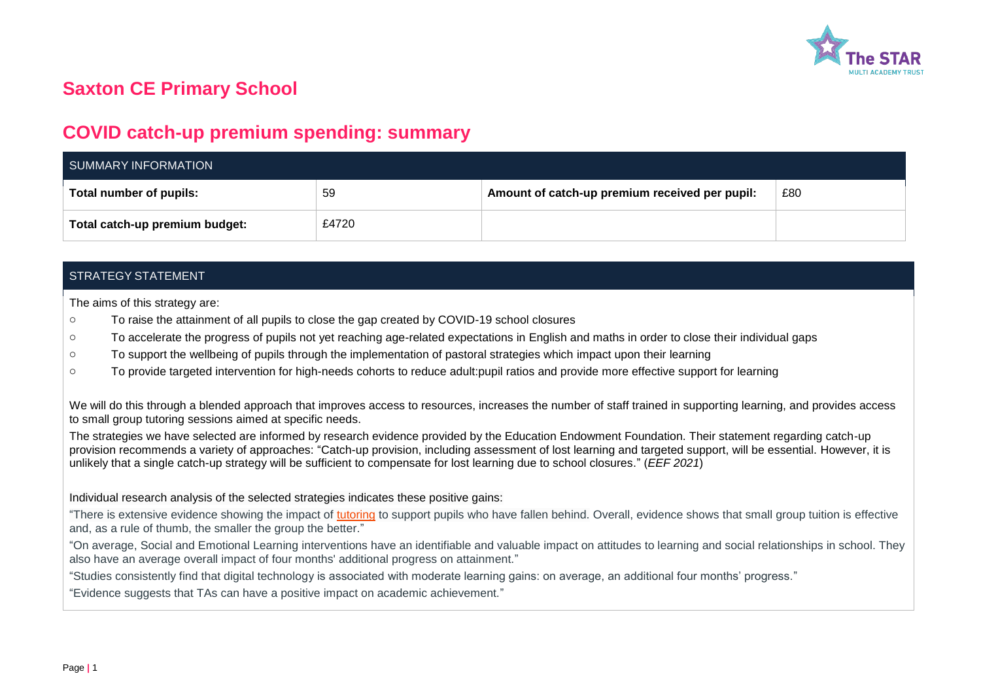

# **Saxton CE Primary School**

## **COVID catch-up premium spending: summary**

| SUMMARY INFORMATION            |       |                                                |     |  |  |  |
|--------------------------------|-------|------------------------------------------------|-----|--|--|--|
| Total number of pupils:        | 59    | Amount of catch-up premium received per pupil: | £80 |  |  |  |
| Total catch-up premium budget: | £4720 |                                                |     |  |  |  |

### STRATEGY STATEMENT

The aims of this strategy are:

- o To raise the attainment of all pupils to close the gap created by COVID-19 school closures
- o To accelerate the progress of pupils not yet reaching age-related expectations in English and maths in order to close their individual gaps
- o To support the wellbeing of pupils through the implementation of pastoral strategies which impact upon their learning
- o To provide targeted intervention for high-needs cohorts to reduce adult:pupil ratios and provide more effective support for learning

We will do this through a blended approach that improves access to resources, increases the number of staff trained in supporting learning, and provides access to small group tutoring sessions aimed at specific needs.

The strategies we have selected are informed by research evidence provided by the Education Endowment Foundation. Their statement regarding catch-up provision recommends a variety of approaches: "Catch-up provision, including assessment of lost learning and targeted support, will be essential. However, it is unlikely that a single catch-up strategy will be sufficient to compensate for lost learning due to school closures." (*EEF 2021*)

#### Individual research analysis of the selected strategies indicates these positive gains:

"There is extensive evidence showing the impact of [tutoring](https://educationendowmentfoundation.org.uk/evidence-summaries/teaching-learning-toolkit/small-group-tuition/) to support pupils who have fallen behind. Overall, evidence shows that small group tuition is effective and, as a rule of thumb, the smaller the group the better."

"On average, Social and Emotional Learning interventions have an identifiable and valuable impact on attitudes to learning and social relationships in school. They also have an average overall impact of four months' additional progress on attainment."

"Studies consistently find that digital technology is associated with moderate learning gains: on average, an additional four months' progress."

"Evidence suggests that TAs can have a positive impact on academic achievement."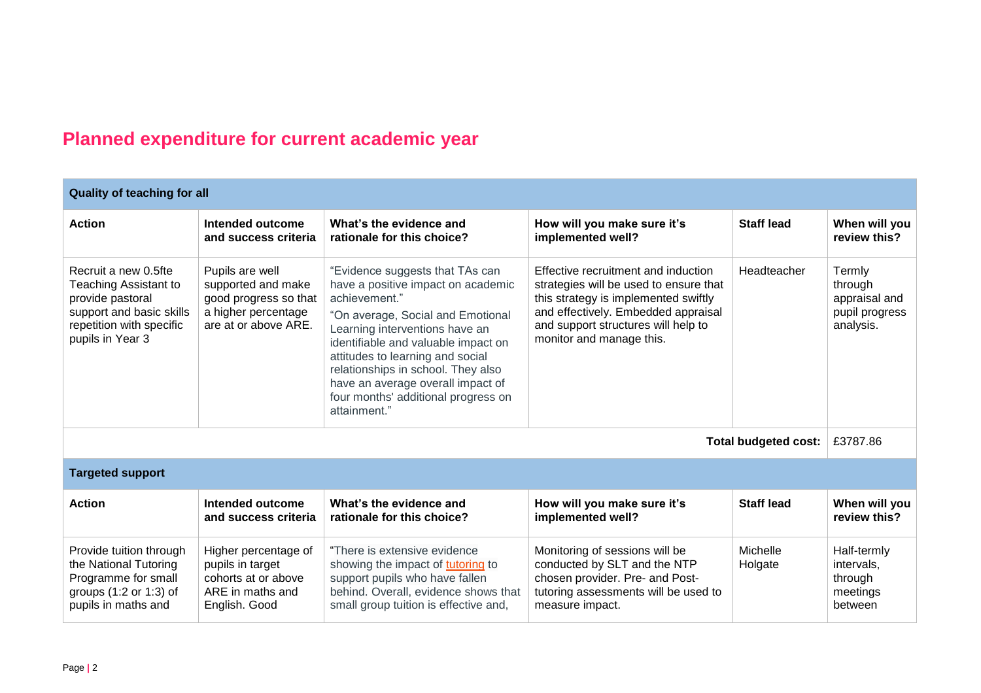# **Planned expenditure for current academic year**

| <b>Quality of teaching for all</b>                                                                                                                   |                                                                                                               |                                                                                                                                                                                                                                                                                                                                                                            |                                                                                                                                                                                                                                 |                             |                                                                   |  |  |  |
|------------------------------------------------------------------------------------------------------------------------------------------------------|---------------------------------------------------------------------------------------------------------------|----------------------------------------------------------------------------------------------------------------------------------------------------------------------------------------------------------------------------------------------------------------------------------------------------------------------------------------------------------------------------|---------------------------------------------------------------------------------------------------------------------------------------------------------------------------------------------------------------------------------|-----------------------------|-------------------------------------------------------------------|--|--|--|
| <b>Action</b>                                                                                                                                        | Intended outcome<br>and success criteria                                                                      | What's the evidence and<br>rationale for this choice?                                                                                                                                                                                                                                                                                                                      | How will you make sure it's<br>implemented well?                                                                                                                                                                                | <b>Staff lead</b>           | When will you<br>review this?                                     |  |  |  |
| Recruit a new 0.5fte<br><b>Teaching Assistant to</b><br>provide pastoral<br>support and basic skills<br>repetition with specific<br>pupils in Year 3 | Pupils are well<br>supported and make<br>good progress so that<br>a higher percentage<br>are at or above ARE. | "Evidence suggests that TAs can<br>have a positive impact on academic<br>achievement."<br>"On average, Social and Emotional<br>Learning interventions have an<br>identifiable and valuable impact on<br>attitudes to learning and social<br>relationships in school. They also<br>have an average overall impact of<br>four months' additional progress on<br>attainment." | Effective recruitment and induction<br>strategies will be used to ensure that<br>this strategy is implemented swiftly<br>and effectively. Embedded appraisal<br>and support structures will help to<br>monitor and manage this. | Headteacher                 | Termly<br>through<br>appraisal and<br>pupil progress<br>analysis. |  |  |  |
|                                                                                                                                                      |                                                                                                               |                                                                                                                                                                                                                                                                                                                                                                            |                                                                                                                                                                                                                                 | <b>Total budgeted cost:</b> | £3787.86                                                          |  |  |  |
| <b>Targeted support</b>                                                                                                                              |                                                                                                               |                                                                                                                                                                                                                                                                                                                                                                            |                                                                                                                                                                                                                                 |                             |                                                                   |  |  |  |
| <b>Action</b>                                                                                                                                        | Intended outcome<br>and success criteria                                                                      | What's the evidence and<br>rationale for this choice?                                                                                                                                                                                                                                                                                                                      | How will you make sure it's<br>implemented well?                                                                                                                                                                                | <b>Staff lead</b>           | When will you<br>review this?                                     |  |  |  |
| Provide tuition through<br>the National Tutoring<br>Programme for small<br>groups (1:2 or 1:3) of<br>pupils in maths and                             | Higher percentage of<br>pupils in target<br>cohorts at or above<br>ARE in maths and<br>English. Good          | "There is extensive evidence"<br>showing the impact of tutoring to<br>support pupils who have fallen<br>behind. Overall, evidence shows that<br>small group tuition is effective and,                                                                                                                                                                                      | Monitoring of sessions will be<br>conducted by SLT and the NTP<br>chosen provider. Pre- and Post-<br>tutoring assessments will be used to<br>measure impact.                                                                    | Michelle<br>Holgate         | Half-termly<br>intervals,<br>through<br>meetings<br>between       |  |  |  |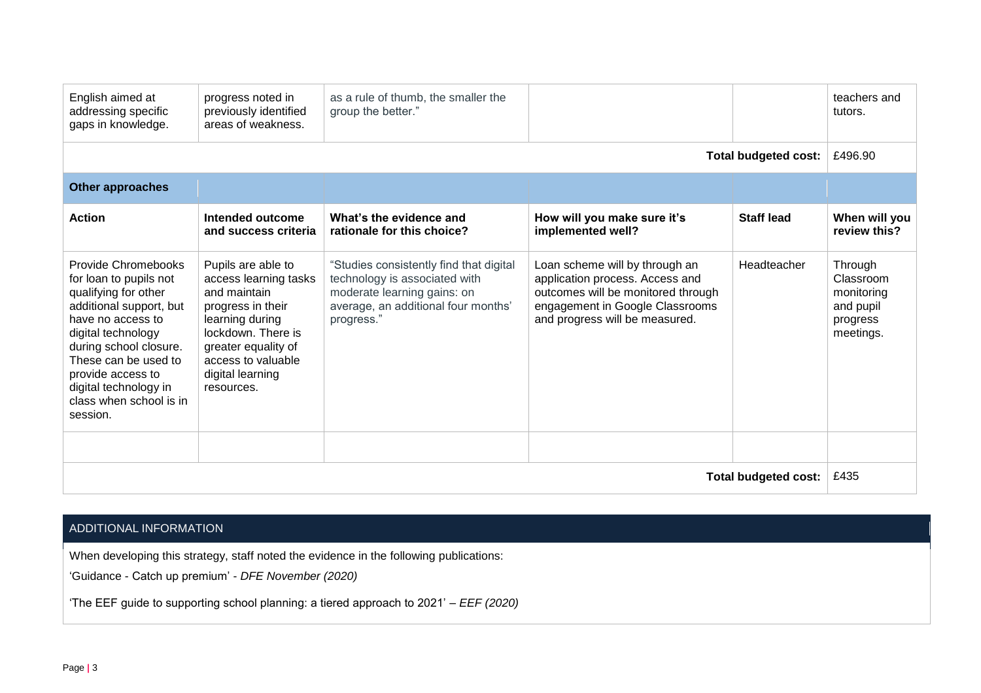| English aimed at<br>addressing specific<br>gaps in knowledge.                                                                                                                                                                                                                      | progress noted in<br>previously identified<br>areas of weakness.                                                                                                                                         | as a rule of thumb, the smaller the<br>group the better."                                                                                                    |                                                                                                                                                                              |                   | teachers and<br>tutors.                                                  |
|------------------------------------------------------------------------------------------------------------------------------------------------------------------------------------------------------------------------------------------------------------------------------------|----------------------------------------------------------------------------------------------------------------------------------------------------------------------------------------------------------|--------------------------------------------------------------------------------------------------------------------------------------------------------------|------------------------------------------------------------------------------------------------------------------------------------------------------------------------------|-------------------|--------------------------------------------------------------------------|
| <b>Total budgeted cost:</b>                                                                                                                                                                                                                                                        |                                                                                                                                                                                                          |                                                                                                                                                              |                                                                                                                                                                              |                   | £496.90                                                                  |
| <b>Other approaches</b>                                                                                                                                                                                                                                                            |                                                                                                                                                                                                          |                                                                                                                                                              |                                                                                                                                                                              |                   |                                                                          |
| <b>Action</b>                                                                                                                                                                                                                                                                      | Intended outcome<br>and success criteria                                                                                                                                                                 | What's the evidence and<br>rationale for this choice?                                                                                                        | How will you make sure it's<br>implemented well?                                                                                                                             | <b>Staff lead</b> | When will you<br>review this?                                            |
| Provide Chromebooks<br>for loan to pupils not<br>qualifying for other<br>additional support, but<br>have no access to<br>digital technology<br>during school closure.<br>These can be used to<br>provide access to<br>digital technology in<br>class when school is in<br>session. | Pupils are able to<br>access learning tasks<br>and maintain<br>progress in their<br>learning during<br>lockdown. There is<br>greater equality of<br>access to valuable<br>digital learning<br>resources. | "Studies consistently find that digital<br>technology is associated with<br>moderate learning gains: on<br>average, an additional four months'<br>progress." | Loan scheme will by through an<br>application process. Access and<br>outcomes will be monitored through<br>engagement in Google Classrooms<br>and progress will be measured. | Headteacher       | Through<br>Classroom<br>monitoring<br>and pupil<br>progress<br>meetings. |
| <b>Total budgeted cost:</b>                                                                                                                                                                                                                                                        |                                                                                                                                                                                                          |                                                                                                                                                              |                                                                                                                                                                              |                   |                                                                          |

## ADDITIONAL INFORMATION

When developing this strategy, staff noted the evidence in the following publications:

'Guidance - Catch up premium' - *DFE November (2020)*

'The EEF guide to supporting school planning: a tiered approach to 2021' – *EEF (2020)*